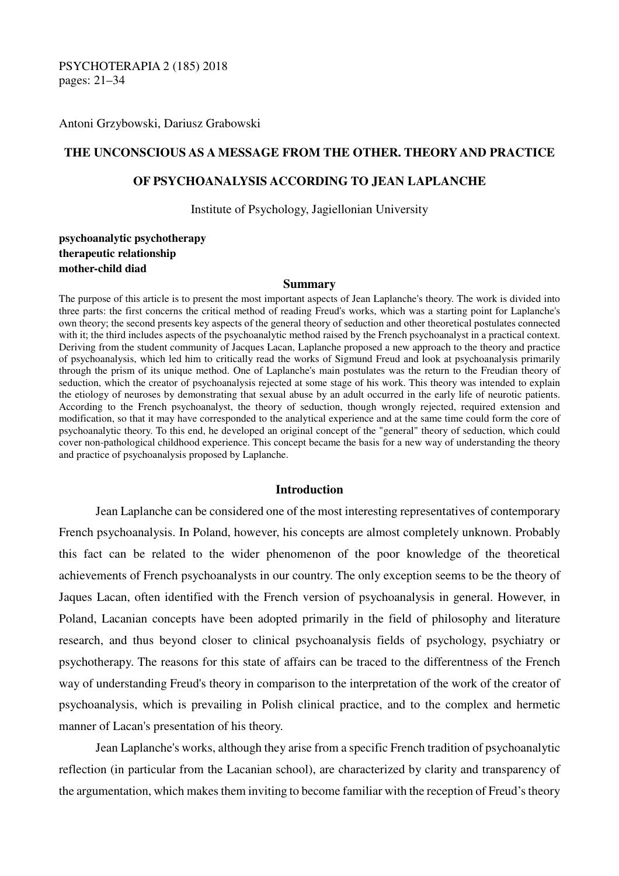PSYCHOTERAPIA 2 (185) 2018 pages: 21–34

Antoni Grzybowski, Dariusz Grabowski

### **THE UNCONSCIOUS AS A MESSAGE FROM THE OTHER. THEORY AND PRACTICE**

### **OF PSYCHOANALYSIS ACCORDING TO JEAN LAPLANCHE**

Institute of Psychology, Jagiellonian University

# **psychoanalytic psychotherapy therapeutic relationship mother-child diad**

#### **Summary**

The purpose of this article is to present the most important aspects of Jean Laplanche's theory. The work is divided into three parts: the first concerns the critical method of reading Freud's works, which was a starting point for Laplanche's own theory; the second presents key aspects of the general theory of seduction and other theoretical postulates connected with it; the third includes aspects of the psychoanalytic method raised by the French psychoanalyst in a practical context. Deriving from the student community of Jacques Lacan, Laplanche proposed a new approach to the theory and practice of psychoanalysis, which led him to critically read the works of Sigmund Freud and look at psychoanalysis primarily through the prism of its unique method. One of Laplanche's main postulates was the return to the Freudian theory of seduction, which the creator of psychoanalysis rejected at some stage of his work. This theory was intended to explain the etiology of neuroses by demonstrating that sexual abuse by an adult occurred in the early life of neurotic patients. According to the French psychoanalyst, the theory of seduction, though wrongly rejected, required extension and modification, so that it may have corresponded to the analytical experience and at the same time could form the core of psychoanalytic theory. To this end, he developed an original concept of the "general" theory of seduction, which could cover non-pathological childhood experience. This concept became the basis for a new way of understanding the theory and practice of psychoanalysis proposed by Laplanche.

### **Introduction**

 Jean Laplanche can be considered one of the most interesting representatives of contemporary French psychoanalysis. In Poland, however, his concepts are almost completely unknown. Probably this fact can be related to the wider phenomenon of the poor knowledge of the theoretical achievements of French psychoanalysts in our country. The only exception seems to be the theory of Jaques Lacan, often identified with the French version of psychoanalysis in general. However, in Poland, Lacanian concepts have been adopted primarily in the field of philosophy and literature research, and thus beyond closer to clinical psychoanalysis fields of psychology, psychiatry or psychotherapy. The reasons for this state of affairs can be traced to the differentness of the French way of understanding Freud's theory in comparison to the interpretation of the work of the creator of psychoanalysis, which is prevailing in Polish clinical practice, and to the complex and hermetic manner of Lacan's presentation of his theory.

 Jean Laplanche's works, although they arise from a specific French tradition of psychoanalytic reflection (in particular from the Lacanian school), are characterized by clarity and transparency of the argumentation, which makes them inviting to become familiar with the reception of Freud's theory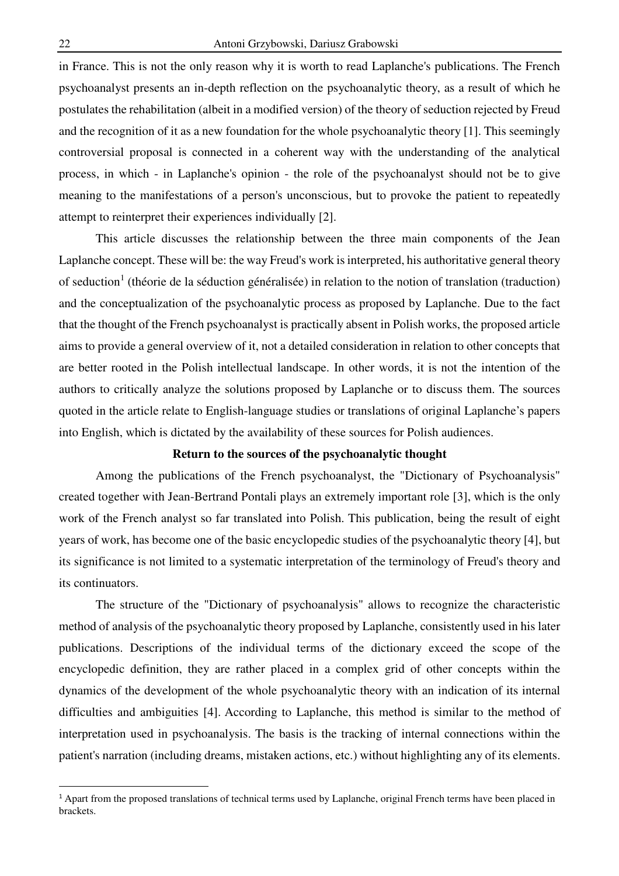in France. This is not the only reason why it is worth to read Laplanche's publications. The French psychoanalyst presents an in-depth reflection on the psychoanalytic theory, as a result of which he postulates the rehabilitation (albeit in a modified version) of the theory of seduction rejected by Freud and the recognition of it as a new foundation for the whole psychoanalytic theory [1]. This seemingly controversial proposal is connected in a coherent way with the understanding of the analytical process, in which - in Laplanche's opinion - the role of the psychoanalyst should not be to give meaning to the manifestations of a person's unconscious, but to provoke the patient to repeatedly attempt to reinterpret their experiences individually [2].

 This article discusses the relationship between the three main components of the Jean Laplanche concept. These will be: the way Freud's work is interpreted, his authoritative general theory of seduction<sup>1</sup> (théorie de la séduction généralisée) in relation to the notion of translation (traduction) and the conceptualization of the psychoanalytic process as proposed by Laplanche. Due to the fact that the thought of the French psychoanalyst is practically absent in Polish works, the proposed article aims to provide a general overview of it, not a detailed consideration in relation to other concepts that are better rooted in the Polish intellectual landscape. In other words, it is not the intention of the authors to critically analyze the solutions proposed by Laplanche or to discuss them. The sources quoted in the article relate to English-language studies or translations of original Laplanche's papers into English, which is dictated by the availability of these sources for Polish audiences.

## **Return to the sources of the psychoanalytic thought**

 Among the publications of the French psychoanalyst, the "Dictionary of Psychoanalysis" created together with Jean-Bertrand Pontali plays an extremely important role [3], which is the only work of the French analyst so far translated into Polish. This publication, being the result of eight years of work, has become one of the basic encyclopedic studies of the psychoanalytic theory [4], but its significance is not limited to a systematic interpretation of the terminology of Freud's theory and its continuators.

 The structure of the "Dictionary of psychoanalysis" allows to recognize the characteristic method of analysis of the psychoanalytic theory proposed by Laplanche, consistently used in his later publications. Descriptions of the individual terms of the dictionary exceed the scope of the encyclopedic definition, they are rather placed in a complex grid of other concepts within the dynamics of the development of the whole psychoanalytic theory with an indication of its internal difficulties and ambiguities [4]. According to Laplanche, this method is similar to the method of interpretation used in psychoanalysis. The basis is the tracking of internal connections within the patient's narration (including dreams, mistaken actions, etc.) without highlighting any of its elements.

 $\overline{a}$ 

<sup>&</sup>lt;sup>1</sup> Apart from the proposed translations of technical terms used by Laplanche, original French terms have been placed in brackets.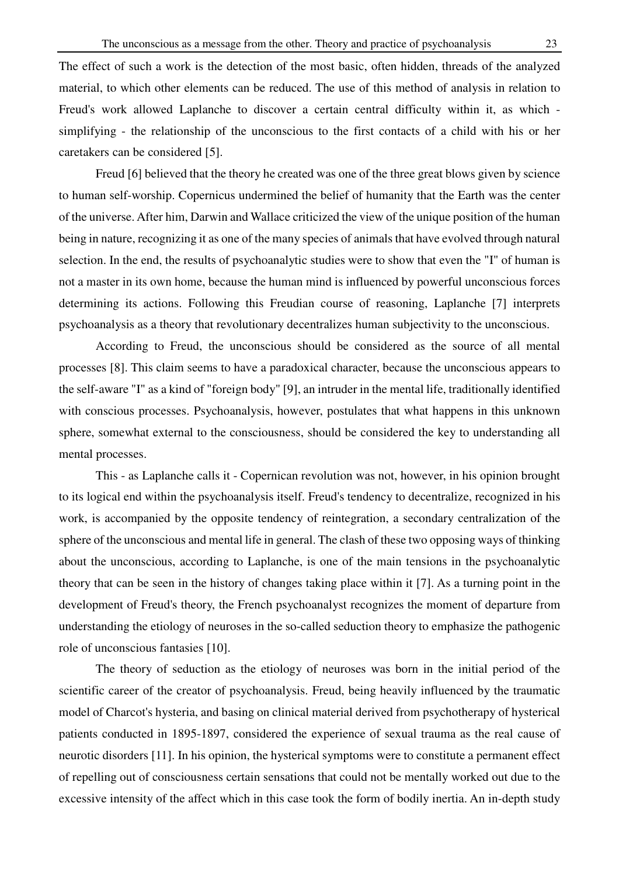The effect of such a work is the detection of the most basic, often hidden, threads of the analyzed material, to which other elements can be reduced. The use of this method of analysis in relation to Freud's work allowed Laplanche to discover a certain central difficulty within it, as which simplifying - the relationship of the unconscious to the first contacts of a child with his or her caretakers can be considered [5].

Freud [6] believed that the theory he created was one of the three great blows given by science to human self-worship. Copernicus undermined the belief of humanity that the Earth was the center of the universe. After him, Darwin and Wallace criticized the view of the unique position of the human being in nature, recognizing it as one of the many species of animals that have evolved through natural selection. In the end, the results of psychoanalytic studies were to show that even the "I" of human is not a master in its own home, because the human mind is influenced by powerful unconscious forces determining its actions. Following this Freudian course of reasoning, Laplanche [7] interprets psychoanalysis as a theory that revolutionary decentralizes human subjectivity to the unconscious.

 According to Freud, the unconscious should be considered as the source of all mental processes [8]. This claim seems to have a paradoxical character, because the unconscious appears to the self-aware "I" as a kind of "foreign body" [9], an intruder in the mental life, traditionally identified with conscious processes. Psychoanalysis, however, postulates that what happens in this unknown sphere, somewhat external to the consciousness, should be considered the key to understanding all mental processes.

 This - as Laplanche calls it - Copernican revolution was not, however, in his opinion brought to its logical end within the psychoanalysis itself. Freud's tendency to decentralize, recognized in his work, is accompanied by the opposite tendency of reintegration, a secondary centralization of the sphere of the unconscious and mental life in general. The clash of these two opposing ways of thinking about the unconscious, according to Laplanche, is one of the main tensions in the psychoanalytic theory that can be seen in the history of changes taking place within it [7]. As a turning point in the development of Freud's theory, the French psychoanalyst recognizes the moment of departure from understanding the etiology of neuroses in the so-called seduction theory to emphasize the pathogenic role of unconscious fantasies [10].

 The theory of seduction as the etiology of neuroses was born in the initial period of the scientific career of the creator of psychoanalysis. Freud, being heavily influenced by the traumatic model of Charcot's hysteria, and basing on clinical material derived from psychotherapy of hysterical patients conducted in 1895-1897, considered the experience of sexual trauma as the real cause of neurotic disorders [11]. In his opinion, the hysterical symptoms were to constitute a permanent effect of repelling out of consciousness certain sensations that could not be mentally worked out due to the excessive intensity of the affect which in this case took the form of bodily inertia. An in-depth study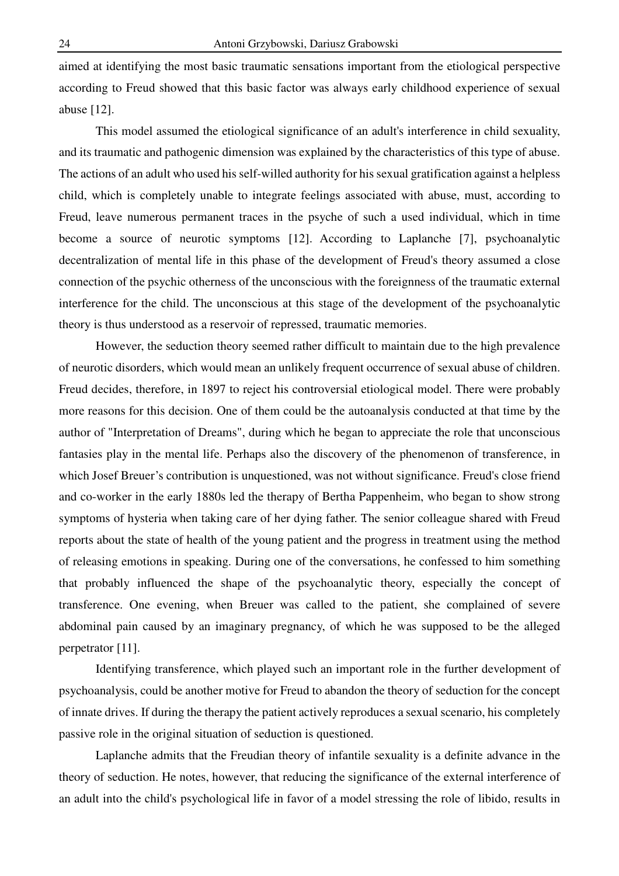aimed at identifying the most basic traumatic sensations important from the etiological perspective according to Freud showed that this basic factor was always early childhood experience of sexual abuse [12].

 This model assumed the etiological significance of an adult's interference in child sexuality, and its traumatic and pathogenic dimension was explained by the characteristics of this type of abuse. The actions of an adult who used his self-willed authority for his sexual gratification against a helpless child, which is completely unable to integrate feelings associated with abuse, must, according to Freud, leave numerous permanent traces in the psyche of such a used individual, which in time become a source of neurotic symptoms [12]. According to Laplanche [7], psychoanalytic decentralization of mental life in this phase of the development of Freud's theory assumed a close connection of the psychic otherness of the unconscious with the foreignness of the traumatic external interference for the child. The unconscious at this stage of the development of the psychoanalytic theory is thus understood as a reservoir of repressed, traumatic memories.

 However, the seduction theory seemed rather difficult to maintain due to the high prevalence of neurotic disorders, which would mean an unlikely frequent occurrence of sexual abuse of children. Freud decides, therefore, in 1897 to reject his controversial etiological model. There were probably more reasons for this decision. One of them could be the autoanalysis conducted at that time by the author of "Interpretation of Dreams", during which he began to appreciate the role that unconscious fantasies play in the mental life. Perhaps also the discovery of the phenomenon of transference, in which Josef Breuer's contribution is unquestioned, was not without significance. Freud's close friend and co-worker in the early 1880s led the therapy of Bertha Pappenheim, who began to show strong symptoms of hysteria when taking care of her dying father. The senior colleague shared with Freud reports about the state of health of the young patient and the progress in treatment using the method of releasing emotions in speaking. During one of the conversations, he confessed to him something that probably influenced the shape of the psychoanalytic theory, especially the concept of transference. One evening, when Breuer was called to the patient, she complained of severe abdominal pain caused by an imaginary pregnancy, of which he was supposed to be the alleged perpetrator [11].

 Identifying transference, which played such an important role in the further development of psychoanalysis, could be another motive for Freud to abandon the theory of seduction for the concept of innate drives. If during the therapy the patient actively reproduces a sexual scenario, his completely passive role in the original situation of seduction is questioned.

 Laplanche admits that the Freudian theory of infantile sexuality is a definite advance in the theory of seduction. He notes, however, that reducing the significance of the external interference of an adult into the child's psychological life in favor of a model stressing the role of libido, results in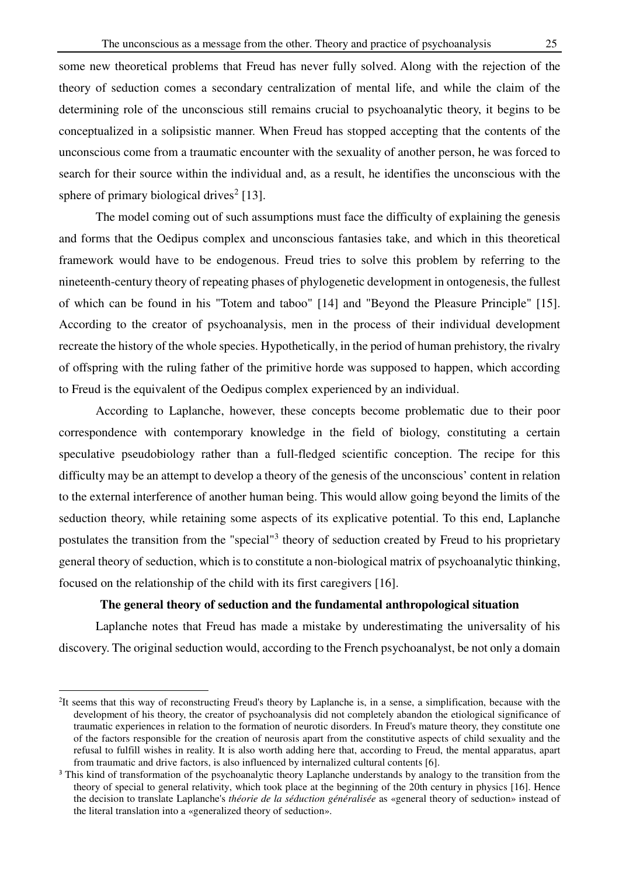some new theoretical problems that Freud has never fully solved. Along with the rejection of the theory of seduction comes a secondary centralization of mental life, and while the claim of the determining role of the unconscious still remains crucial to psychoanalytic theory, it begins to be conceptualized in a solipsistic manner. When Freud has stopped accepting that the contents of the unconscious come from a traumatic encounter with the sexuality of another person, he was forced to search for their source within the individual and, as a result, he identifies the unconscious with the sphere of primary biological drives<sup>2</sup> [13].

 The model coming out of such assumptions must face the difficulty of explaining the genesis and forms that the Oedipus complex and unconscious fantasies take, and which in this theoretical framework would have to be endogenous. Freud tries to solve this problem by referring to the nineteenth-century theory of repeating phases of phylogenetic development in ontogenesis, the fullest of which can be found in his "Totem and taboo" [14] and "Beyond the Pleasure Principle" [15]. According to the creator of psychoanalysis, men in the process of their individual development recreate the history of the whole species. Hypothetically, in the period of human prehistory, the rivalry of offspring with the ruling father of the primitive horde was supposed to happen, which according to Freud is the equivalent of the Oedipus complex experienced by an individual.

 According to Laplanche, however, these concepts become problematic due to their poor correspondence with contemporary knowledge in the field of biology, constituting a certain speculative pseudobiology rather than a full-fledged scientific conception. The recipe for this difficulty may be an attempt to develop a theory of the genesis of the unconscious' content in relation to the external interference of another human being. This would allow going beyond the limits of the seduction theory, while retaining some aspects of its explicative potential. To this end, Laplanche postulates the transition from the "special"<sup>3</sup> theory of seduction created by Freud to his proprietary general theory of seduction, which is to constitute a non-biological matrix of psychoanalytic thinking, focused on the relationship of the child with its first caregivers [16].

### **The general theory of seduction and the fundamental anthropological situation**

 Laplanche notes that Freud has made a mistake by underestimating the universality of his discovery. The original seduction would, according to the French psychoanalyst, be not only a domain

l

<sup>&</sup>lt;sup>2</sup>It seems that this way of reconstructing Freud's theory by Laplanche is, in a sense, a simplification, because with the development of his theory, the creator of psychoanalysis did not completely abandon the etiological significance of traumatic experiences in relation to the formation of neurotic disorders. In Freud's mature theory, they constitute one of the factors responsible for the creation of neurosis apart from the constitutive aspects of child sexuality and the refusal to fulfill wishes in reality. It is also worth adding here that, according to Freud, the mental apparatus, apart from traumatic and drive factors, is also influenced by internalized cultural contents [6].

<sup>&</sup>lt;sup>3</sup> This kind of transformation of the psychoanalytic theory Laplanche understands by analogy to the transition from the theory of special to general relativity, which took place at the beginning of the 20th century in physics [16]. Hence the decision to translate Laplanche's *théorie de la séduction généralisée* as «general theory of seduction» instead of the literal translation into a «generalized theory of seduction».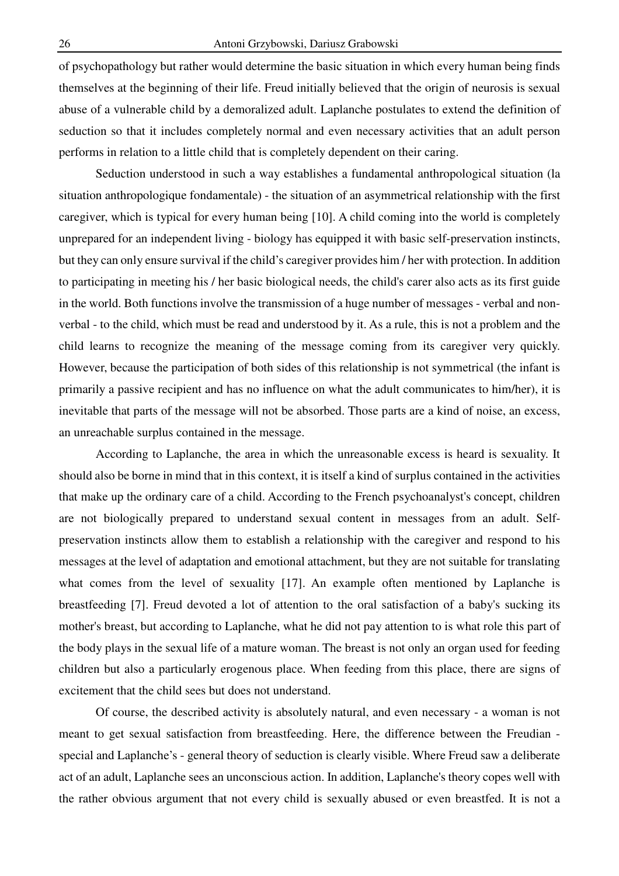of psychopathology but rather would determine the basic situation in which every human being finds themselves at the beginning of their life. Freud initially believed that the origin of neurosis is sexual abuse of a vulnerable child by a demoralized adult. Laplanche postulates to extend the definition of seduction so that it includes completely normal and even necessary activities that an adult person performs in relation to a little child that is completely dependent on their caring.

 Seduction understood in such a way establishes a fundamental anthropological situation (la situation anthropologique fondamentale) - the situation of an asymmetrical relationship with the first caregiver, which is typical for every human being [10]. A child coming into the world is completely unprepared for an independent living - biology has equipped it with basic self-preservation instincts, but they can only ensure survival if the child's caregiver provides him / her with protection. In addition to participating in meeting his / her basic biological needs, the child's carer also acts as its first guide in the world. Both functions involve the transmission of a huge number of messages - verbal and nonverbal - to the child, which must be read and understood by it. As a rule, this is not a problem and the child learns to recognize the meaning of the message coming from its caregiver very quickly. However, because the participation of both sides of this relationship is not symmetrical (the infant is primarily a passive recipient and has no influence on what the adult communicates to him/her), it is inevitable that parts of the message will not be absorbed. Those parts are a kind of noise, an excess, an unreachable surplus contained in the message.

 According to Laplanche, the area in which the unreasonable excess is heard is sexuality. It should also be borne in mind that in this context, it is itself a kind of surplus contained in the activities that make up the ordinary care of a child. According to the French psychoanalyst's concept, children are not biologically prepared to understand sexual content in messages from an adult. Selfpreservation instincts allow them to establish a relationship with the caregiver and respond to his messages at the level of adaptation and emotional attachment, but they are not suitable for translating what comes from the level of sexuality [17]. An example often mentioned by Laplanche is breastfeeding [7]. Freud devoted a lot of attention to the oral satisfaction of a baby's sucking its mother's breast, but according to Laplanche, what he did not pay attention to is what role this part of the body plays in the sexual life of a mature woman. The breast is not only an organ used for feeding children but also a particularly erogenous place. When feeding from this place, there are signs of excitement that the child sees but does not understand.

 Of course, the described activity is absolutely natural, and even necessary - a woman is not meant to get sexual satisfaction from breastfeeding. Here, the difference between the Freudian special and Laplanche's - general theory of seduction is clearly visible. Where Freud saw a deliberate act of an adult, Laplanche sees an unconscious action. In addition, Laplanche's theory copes well with the rather obvious argument that not every child is sexually abused or even breastfed. It is not a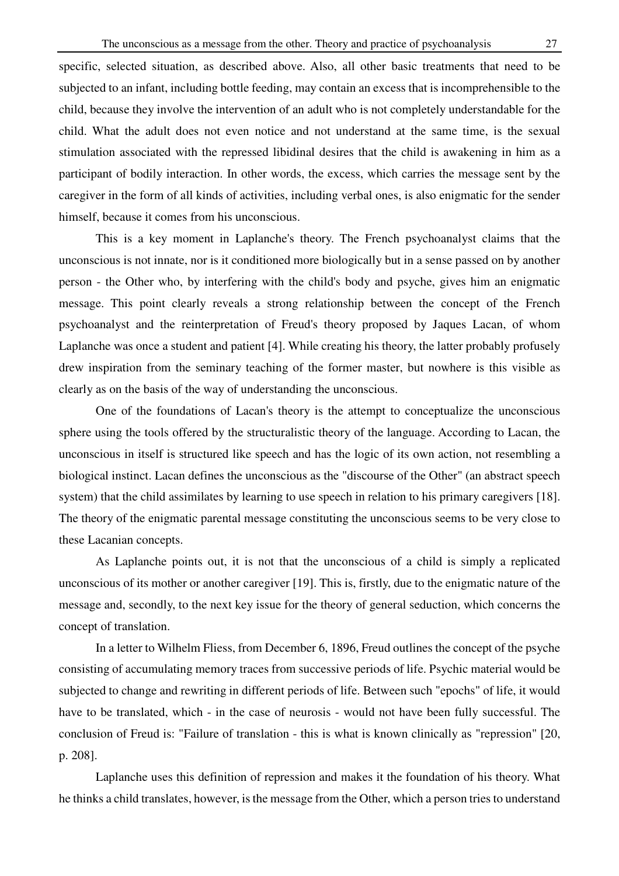specific, selected situation, as described above. Also, all other basic treatments that need to be subjected to an infant, including bottle feeding, may contain an excess that is incomprehensible to the child, because they involve the intervention of an adult who is not completely understandable for the child. What the adult does not even notice and not understand at the same time, is the sexual stimulation associated with the repressed libidinal desires that the child is awakening in him as a participant of bodily interaction. In other words, the excess, which carries the message sent by the caregiver in the form of all kinds of activities, including verbal ones, is also enigmatic for the sender himself, because it comes from his unconscious.

 This is a key moment in Laplanche's theory. The French psychoanalyst claims that the unconscious is not innate, nor is it conditioned more biologically but in a sense passed on by another person - the Other who, by interfering with the child's body and psyche, gives him an enigmatic message. This point clearly reveals a strong relationship between the concept of the French psychoanalyst and the reinterpretation of Freud's theory proposed by Jaques Lacan, of whom Laplanche was once a student and patient [4]. While creating his theory, the latter probably profusely drew inspiration from the seminary teaching of the former master, but nowhere is this visible as clearly as on the basis of the way of understanding the unconscious.

 One of the foundations of Lacan's theory is the attempt to conceptualize the unconscious sphere using the tools offered by the structuralistic theory of the language. According to Lacan, the unconscious in itself is structured like speech and has the logic of its own action, not resembling a biological instinct. Lacan defines the unconscious as the "discourse of the Other" (an abstract speech system) that the child assimilates by learning to use speech in relation to his primary caregivers [18]. The theory of the enigmatic parental message constituting the unconscious seems to be very close to these Lacanian concepts.

 As Laplanche points out, it is not that the unconscious of a child is simply a replicated unconscious of its mother or another caregiver [19]. This is, firstly, due to the enigmatic nature of the message and, secondly, to the next key issue for the theory of general seduction, which concerns the concept of translation.

 In a letter to Wilhelm Fliess, from December 6, 1896, Freud outlines the concept of the psyche consisting of accumulating memory traces from successive periods of life. Psychic material would be subjected to change and rewriting in different periods of life. Between such "epochs" of life, it would have to be translated, which - in the case of neurosis - would not have been fully successful. The conclusion of Freud is: "Failure of translation - this is what is known clinically as "repression" [20, p. 208].

 Laplanche uses this definition of repression and makes it the foundation of his theory. What he thinks a child translates, however, is the message from the Other, which a person tries to understand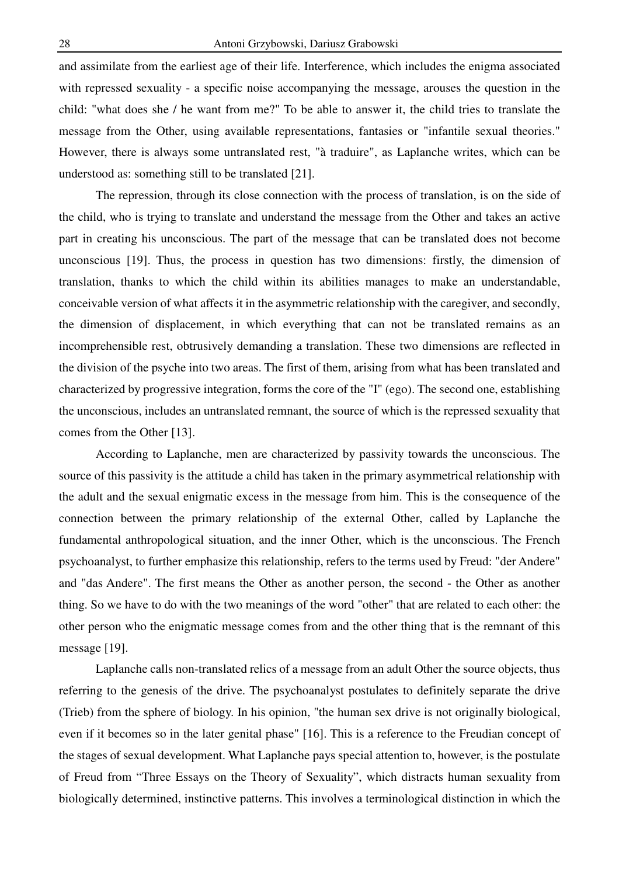and assimilate from the earliest age of their life. Interference, which includes the enigma associated with repressed sexuality - a specific noise accompanying the message, arouses the question in the child: "what does she / he want from me?" To be able to answer it, the child tries to translate the message from the Other, using available representations, fantasies or "infantile sexual theories." However, there is always some untranslated rest, "à traduire", as Laplanche writes, which can be understood as: something still to be translated [21].

 The repression, through its close connection with the process of translation, is on the side of the child, who is trying to translate and understand the message from the Other and takes an active part in creating his unconscious. The part of the message that can be translated does not become unconscious [19]. Thus, the process in question has two dimensions: firstly, the dimension of translation, thanks to which the child within its abilities manages to make an understandable, conceivable version of what affects it in the asymmetric relationship with the caregiver, and secondly, the dimension of displacement, in which everything that can not be translated remains as an incomprehensible rest, obtrusively demanding a translation. These two dimensions are reflected in the division of the psyche into two areas. The first of them, arising from what has been translated and characterized by progressive integration, forms the core of the "I" (ego). The second one, establishing the unconscious, includes an untranslated remnant, the source of which is the repressed sexuality that comes from the Other [13].

 According to Laplanche, men are characterized by passivity towards the unconscious. The source of this passivity is the attitude a child has taken in the primary asymmetrical relationship with the adult and the sexual enigmatic excess in the message from him. This is the consequence of the connection between the primary relationship of the external Other, called by Laplanche the fundamental anthropological situation, and the inner Other, which is the unconscious. The French psychoanalyst, to further emphasize this relationship, refers to the terms used by Freud: "der Andere" and "das Andere". The first means the Other as another person, the second - the Other as another thing. So we have to do with the two meanings of the word "other" that are related to each other: the other person who the enigmatic message comes from and the other thing that is the remnant of this message [19].

 Laplanche calls non-translated relics of a message from an adult Other the source objects, thus referring to the genesis of the drive. The psychoanalyst postulates to definitely separate the drive (Trieb) from the sphere of biology. In his opinion, "the human sex drive is not originally biological, even if it becomes so in the later genital phase" [16]. This is a reference to the Freudian concept of the stages of sexual development. What Laplanche pays special attention to, however, is the postulate of Freud from "Three Essays on the Theory of Sexuality", which distracts human sexuality from biologically determined, instinctive patterns. This involves a terminological distinction in which the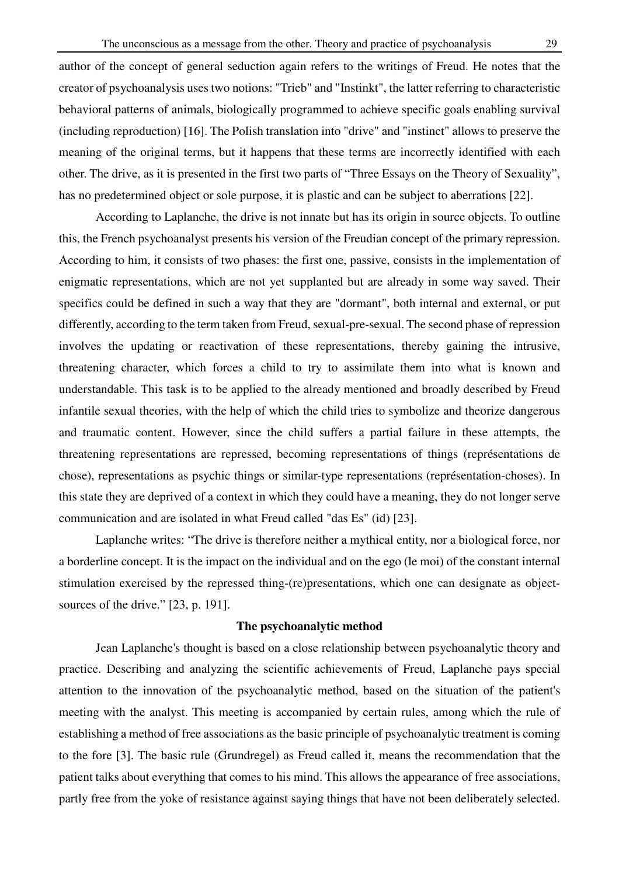author of the concept of general seduction again refers to the writings of Freud. He notes that the creator of psychoanalysis uses two notions: "Trieb" and "Instinkt", the latter referring to characteristic behavioral patterns of animals, biologically programmed to achieve specific goals enabling survival (including reproduction) [16]. The Polish translation into "drive" and "instinct" allows to preserve the meaning of the original terms, but it happens that these terms are incorrectly identified with each other. The drive, as it is presented in the first two parts of "Three Essays on the Theory of Sexuality", has no predetermined object or sole purpose, it is plastic and can be subject to aberrations [22].

 According to Laplanche, the drive is not innate but has its origin in source objects. To outline this, the French psychoanalyst presents his version of the Freudian concept of the primary repression. According to him, it consists of two phases: the first one, passive, consists in the implementation of enigmatic representations, which are not yet supplanted but are already in some way saved. Their specifics could be defined in such a way that they are "dormant", both internal and external, or put differently, according to the term taken from Freud, sexual-pre-sexual. The second phase of repression involves the updating or reactivation of these representations, thereby gaining the intrusive, threatening character, which forces a child to try to assimilate them into what is known and understandable. This task is to be applied to the already mentioned and broadly described by Freud infantile sexual theories, with the help of which the child tries to symbolize and theorize dangerous and traumatic content. However, since the child suffers a partial failure in these attempts, the threatening representations are repressed, becoming representations of things (représentations de chose), representations as psychic things or similar-type representations (représentation-choses). In this state they are deprived of a context in which they could have a meaning, they do not longer serve communication and are isolated in what Freud called "das Es" (id) [23].

 Laplanche writes: "The drive is therefore neither a mythical entity, nor a biological force, nor a borderline concept. It is the impact on the individual and on the ego (le moi) of the constant internal stimulation exercised by the repressed thing-(re)presentations, which one can designate as objectsources of the drive." [23, p. 191].

# **The psychoanalytic method**

 Jean Laplanche's thought is based on a close relationship between psychoanalytic theory and practice. Describing and analyzing the scientific achievements of Freud, Laplanche pays special attention to the innovation of the psychoanalytic method, based on the situation of the patient's meeting with the analyst. This meeting is accompanied by certain rules, among which the rule of establishing a method of free associations as the basic principle of psychoanalytic treatment is coming to the fore [3]. The basic rule (Grundregel) as Freud called it, means the recommendation that the patient talks about everything that comes to his mind. This allows the appearance of free associations, partly free from the yoke of resistance against saying things that have not been deliberately selected.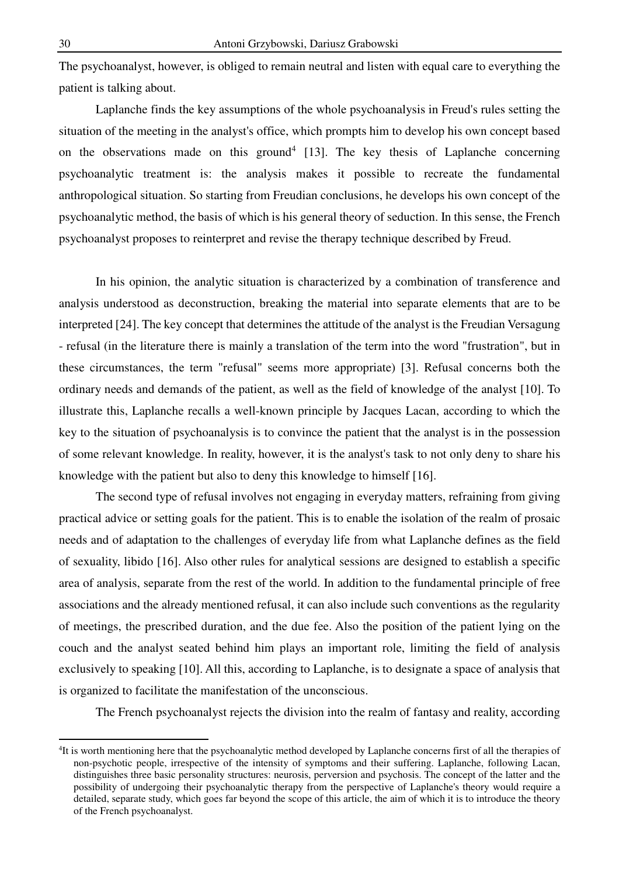The psychoanalyst, however, is obliged to remain neutral and listen with equal care to everything the patient is talking about.

 Laplanche finds the key assumptions of the whole psychoanalysis in Freud's rules setting the situation of the meeting in the analyst's office, which prompts him to develop his own concept based on the observations made on this ground<sup>4</sup> [13]. The key thesis of Laplanche concerning psychoanalytic treatment is: the analysis makes it possible to recreate the fundamental anthropological situation. So starting from Freudian conclusions, he develops his own concept of the psychoanalytic method, the basis of which is his general theory of seduction. In this sense, the French psychoanalyst proposes to reinterpret and revise the therapy technique described by Freud.

 In his opinion, the analytic situation is characterized by a combination of transference and analysis understood as deconstruction, breaking the material into separate elements that are to be interpreted [24]. The key concept that determines the attitude of the analyst is the Freudian Versagung - refusal (in the literature there is mainly a translation of the term into the word "frustration", but in these circumstances, the term "refusal" seems more appropriate) [3]. Refusal concerns both the ordinary needs and demands of the patient, as well as the field of knowledge of the analyst [10]. To illustrate this, Laplanche recalls a well-known principle by Jacques Lacan, according to which the key to the situation of psychoanalysis is to convince the patient that the analyst is in the possession of some relevant knowledge. In reality, however, it is the analyst's task to not only deny to share his knowledge with the patient but also to deny this knowledge to himself [16].

 The second type of refusal involves not engaging in everyday matters, refraining from giving practical advice or setting goals for the patient. This is to enable the isolation of the realm of prosaic needs and of adaptation to the challenges of everyday life from what Laplanche defines as the field of sexuality, libido [16]. Also other rules for analytical sessions are designed to establish a specific area of analysis, separate from the rest of the world. In addition to the fundamental principle of free associations and the already mentioned refusal, it can also include such conventions as the regularity of meetings, the prescribed duration, and the due fee. Also the position of the patient lying on the couch and the analyst seated behind him plays an important role, limiting the field of analysis exclusively to speaking [10]. All this, according to Laplanche, is to designate a space of analysis that is organized to facilitate the manifestation of the unconscious.

The French psychoanalyst rejects the division into the realm of fantasy and reality, according

 $\overline{a}$ 

<sup>&</sup>lt;sup>4</sup>It is worth mentioning here that the psychoanalytic method developed by Laplanche concerns first of all the therapies of non-psychotic people, irrespective of the intensity of symptoms and their suffering. Laplanche, following Lacan, distinguishes three basic personality structures: neurosis, perversion and psychosis. The concept of the latter and the possibility of undergoing their psychoanalytic therapy from the perspective of Laplanche's theory would require a detailed, separate study, which goes far beyond the scope of this article, the aim of which it is to introduce the theory of the French psychoanalyst.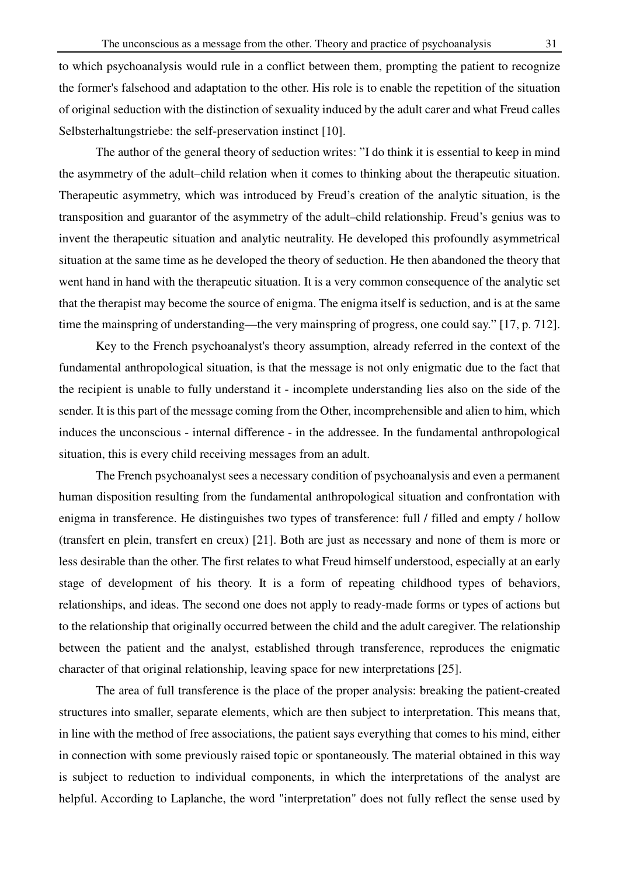to which psychoanalysis would rule in a conflict between them, prompting the patient to recognize the former's falsehood and adaptation to the other. His role is to enable the repetition of the situation of original seduction with the distinction of sexuality induced by the adult carer and what Freud calles Selbsterhaltungstriebe: the self-preservation instinct [10].

 The author of the general theory of seduction writes: "I do think it is essential to keep in mind the asymmetry of the adult–child relation when it comes to thinking about the therapeutic situation. Therapeutic asymmetry, which was introduced by Freud's creation of the analytic situation, is the transposition and guarantor of the asymmetry of the adult–child relationship. Freud's genius was to invent the therapeutic situation and analytic neutrality. He developed this profoundly asymmetrical situation at the same time as he developed the theory of seduction. He then abandoned the theory that went hand in hand with the therapeutic situation. It is a very common consequence of the analytic set that the therapist may become the source of enigma. The enigma itself is seduction, and is at the same time the mainspring of understanding—the very mainspring of progress, one could say." [17, p. 712].

 Key to the French psychoanalyst's theory assumption, already referred in the context of the fundamental anthropological situation, is that the message is not only enigmatic due to the fact that the recipient is unable to fully understand it - incomplete understanding lies also on the side of the sender. It is this part of the message coming from the Other, incomprehensible and alien to him, which induces the unconscious - internal difference - in the addressee. In the fundamental anthropological situation, this is every child receiving messages from an adult.

 The French psychoanalyst sees a necessary condition of psychoanalysis and even a permanent human disposition resulting from the fundamental anthropological situation and confrontation with enigma in transference. He distinguishes two types of transference: full / filled and empty / hollow (transfert en plein, transfert en creux) [21]. Both are just as necessary and none of them is more or less desirable than the other. The first relates to what Freud himself understood, especially at an early stage of development of his theory. It is a form of repeating childhood types of behaviors, relationships, and ideas. The second one does not apply to ready-made forms or types of actions but to the relationship that originally occurred between the child and the adult caregiver. The relationship between the patient and the analyst, established through transference, reproduces the enigmatic character of that original relationship, leaving space for new interpretations [25].

 The area of full transference is the place of the proper analysis: breaking the patient-created structures into smaller, separate elements, which are then subject to interpretation. This means that, in line with the method of free associations, the patient says everything that comes to his mind, either in connection with some previously raised topic or spontaneously. The material obtained in this way is subject to reduction to individual components, in which the interpretations of the analyst are helpful. According to Laplanche, the word "interpretation" does not fully reflect the sense used by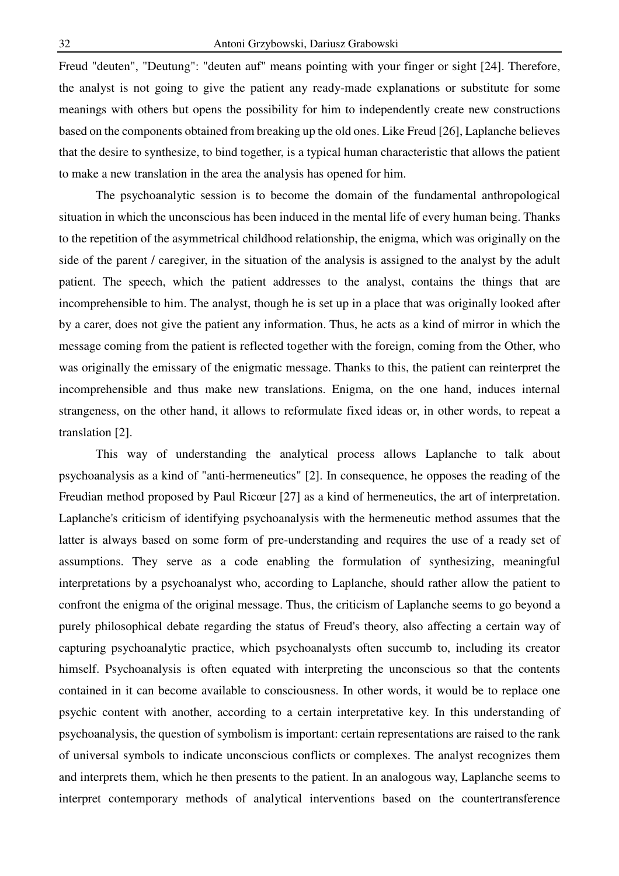Freud "deuten", "Deutung": "deuten auf" means pointing with your finger or sight [24]. Therefore, the analyst is not going to give the patient any ready-made explanations or substitute for some meanings with others but opens the possibility for him to independently create new constructions based on the components obtained from breaking up the old ones. Like Freud [26], Laplanche believes that the desire to synthesize, to bind together, is a typical human characteristic that allows the patient to make a new translation in the area the analysis has opened for him.

 The psychoanalytic session is to become the domain of the fundamental anthropological situation in which the unconscious has been induced in the mental life of every human being. Thanks to the repetition of the asymmetrical childhood relationship, the enigma, which was originally on the side of the parent / caregiver, in the situation of the analysis is assigned to the analyst by the adult patient. The speech, which the patient addresses to the analyst, contains the things that are incomprehensible to him. The analyst, though he is set up in a place that was originally looked after by a carer, does not give the patient any information. Thus, he acts as a kind of mirror in which the message coming from the patient is reflected together with the foreign, coming from the Other, who was originally the emissary of the enigmatic message. Thanks to this, the patient can reinterpret the incomprehensible and thus make new translations. Enigma, on the one hand, induces internal strangeness, on the other hand, it allows to reformulate fixed ideas or, in other words, to repeat a translation [2].

 This way of understanding the analytical process allows Laplanche to talk about psychoanalysis as a kind of "anti-hermeneutics" [2]. In consequence, he opposes the reading of the Freudian method proposed by Paul Ricœur [27] as a kind of hermeneutics, the art of interpretation. Laplanche's criticism of identifying psychoanalysis with the hermeneutic method assumes that the latter is always based on some form of pre-understanding and requires the use of a ready set of assumptions. They serve as a code enabling the formulation of synthesizing, meaningful interpretations by a psychoanalyst who, according to Laplanche, should rather allow the patient to confront the enigma of the original message. Thus, the criticism of Laplanche seems to go beyond a purely philosophical debate regarding the status of Freud's theory, also affecting a certain way of capturing psychoanalytic practice, which psychoanalysts often succumb to, including its creator himself. Psychoanalysis is often equated with interpreting the unconscious so that the contents contained in it can become available to consciousness. In other words, it would be to replace one psychic content with another, according to a certain interpretative key. In this understanding of psychoanalysis, the question of symbolism is important: certain representations are raised to the rank of universal symbols to indicate unconscious conflicts or complexes. The analyst recognizes them and interprets them, which he then presents to the patient. In an analogous way, Laplanche seems to interpret contemporary methods of analytical interventions based on the countertransference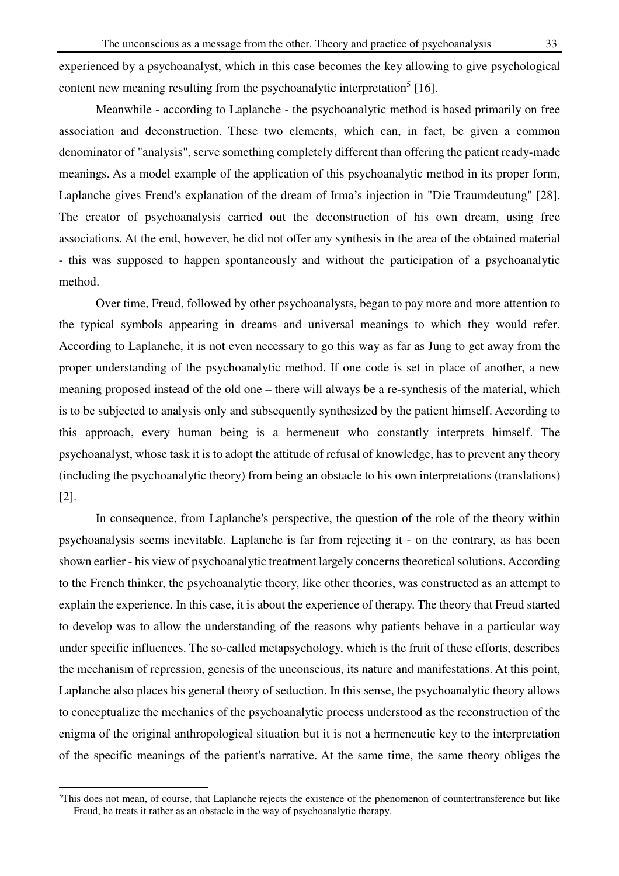experienced by a psychoanalyst, which in this case becomes the key allowing to give psychological content new meaning resulting from the psychoanalytic interpretation<sup>5</sup> [16].

 Meanwhile - according to Laplanche - the psychoanalytic method is based primarily on free association and deconstruction. These two elements, which can, in fact, be given a common denominator of "analysis", serve something completely different than offering the patient ready-made meanings. As a model example of the application of this psychoanalytic method in its proper form, Laplanche gives Freud's explanation of the dream of Irma's injection in "Die Traumdeutung" [28]. The creator of psychoanalysis carried out the deconstruction of his own dream, using free associations. At the end, however, he did not offer any synthesis in the area of the obtained material - this was supposed to happen spontaneously and without the participation of a psychoanalytic method.

 Over time, Freud, followed by other psychoanalysts, began to pay more and more attention to the typical symbols appearing in dreams and universal meanings to which they would refer. According to Laplanche, it is not even necessary to go this way as far as Jung to get away from the proper understanding of the psychoanalytic method. If one code is set in place of another, a new meaning proposed instead of the old one – there will always be a re-synthesis of the material, which is to be subjected to analysis only and subsequently synthesized by the patient himself. According to this approach, every human being is a hermeneut who constantly interprets himself. The psychoanalyst, whose task it is to adopt the attitude of refusal of knowledge, has to prevent any theory (including the psychoanalytic theory) from being an obstacle to his own interpretations (translations) [2].

 In consequence, from Laplanche's perspective, the question of the role of the theory within psychoanalysis seems inevitable. Laplanche is far from rejecting it - on the contrary, as has been shown earlier - his view of psychoanalytic treatment largely concerns theoretical solutions. According to the French thinker, the psychoanalytic theory, like other theories, was constructed as an attempt to explain the experience. In this case, it is about the experience of therapy. The theory that Freud started to develop was to allow the understanding of the reasons why patients behave in a particular way under specific influences. The so-called metapsychology, which is the fruit of these efforts, describes the mechanism of repression, genesis of the unconscious, its nature and manifestations. At this point, Laplanche also places his general theory of seduction. In this sense, the psychoanalytic theory allows to conceptualize the mechanics of the psychoanalytic process understood as the reconstruction of the enigma of the original anthropological situation but it is not a hermeneutic key to the interpretation of the specific meanings of the patient's narrative. At the same time, the same theory obliges the

 $\overline{a}$ 

<sup>&</sup>lt;sup>5</sup>This does not mean, of course, that Laplanche rejects the existence of the phenomenon of countertransference but like Freud, he treats it rather as an obstacle in the way of psychoanalytic therapy.